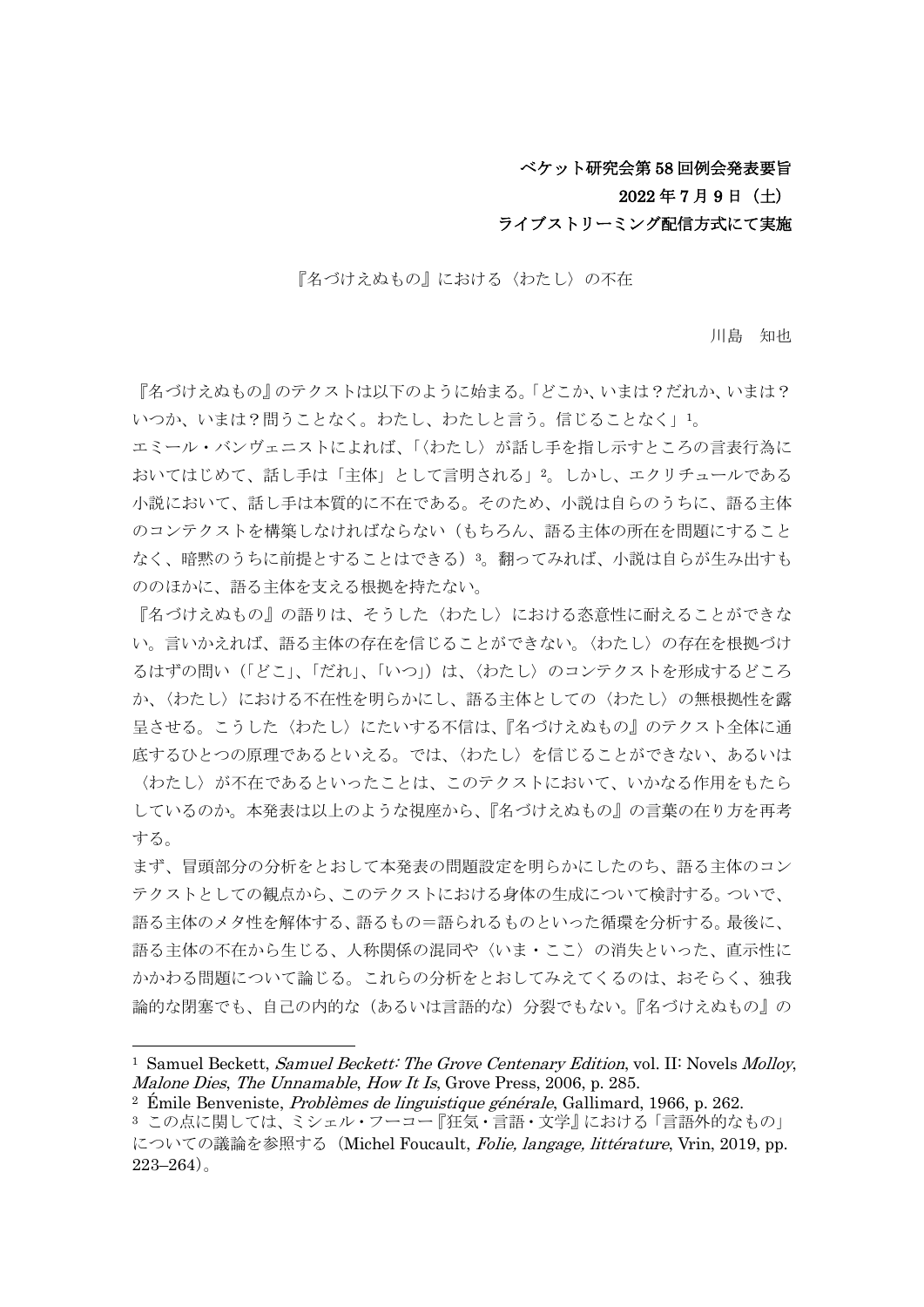### ベケット研究会第 58 回例会発表要旨

## 2022 年 7 月 9 日(土)

#### ライブストリーミング配信方式にて実施

『名づけえぬもの』における〈わたし〉の不在

川島 知也

「名づけえぬもの』のテクストは以下のように始まる。「どこか、いまは?だれか、いまは? いつか、いまは?問うことなく。わたし、わたしと言う。信じることなく」1。

エミール・バンヴェニストによれば、「〈わたし〉が話し手を指し示すところの言表行為に おいてはじめて、話し手は「主体」として言明される」2。しかし、エクリチュールである 小説において、話し手は本質的に不在である。そのため、小説は自らのうちに、語る主体 のコンテクストを構築しなければならない(もちろん、語る主体の所在を問題にすること なく、暗黙のうちに前提とすることはできる) 3。翻ってみれば、小説は自らが生み出すも ののほかに、語る主体を支える根拠を持たない。

『名づけえぬもの』の語りは、そうした〈わたし〉における恣意性に耐えることができな い。言いかえれば、語る主体の存在を信じることができない。〈わたし〉の存在を根拠づけ るはずの問い(「どこ」、「だれ」、「いつ」)は、〈わたし〉のコンテクストを形成するどころ か、〈わたし〉における不在性を明らかにし、語る主体としての〈わたし〉の無根拠性を露 呈させる。こうした〈わたし〉にたいする不信は、『名づけえぬもの』のテクスト全体に通 底するひとつの原理であるといえる。では、〈わたし〉を信じることができない、あるいは 〈わたし〉が不在であるといったことは、このテクストにおいて、いかなる作用をもたら しているのか。本発表は以上のような視座から、『名づけえぬもの』の言葉の在り方を再考

まず、冒頭部分の分析をとおして本発表の問題設定を明らかにしたのち、語る主体のコン テクストとしての観点から、このテクストにおける身体の生成について検討する。ついで、 語る主体のメタ性を解体する、語るもの=語られるものといった循環を分析する。最後に、 語る主体の不在から生じる、人称関係の混同や〈いま・ここ〉の消失といった、直示性に かかわる問題について論じる。これらの分析をとおしてみえてくるのは、おそらく、独我 論的な閉塞でも、自己の内的な(あるいは言語的な)分裂でもない。『名づけえぬもの』の

する。

<sup>&</sup>lt;sup>1</sup> Samuel Beckett, *Samuel Beckett: The Grove Centenary Edition*, vol. II: Novels *Molloy*, Malone Dies, The Unnamable, How It Is, Grove Press, 2006, p. 285.

<sup>&</sup>lt;sup>2</sup> Émile Benveniste, *Problèmes de linguistique générale*, Gallimard, 1966, p. 262.

<sup>3</sup> この点に関しては、ミシェル・フーコー『狂気・言語・文学』における「言語外的なもの」 についての議論を参照する (Michel Foucault, *Folie, langage, littérature*, Vrin, 2019, pp.  $223 - 264$ )。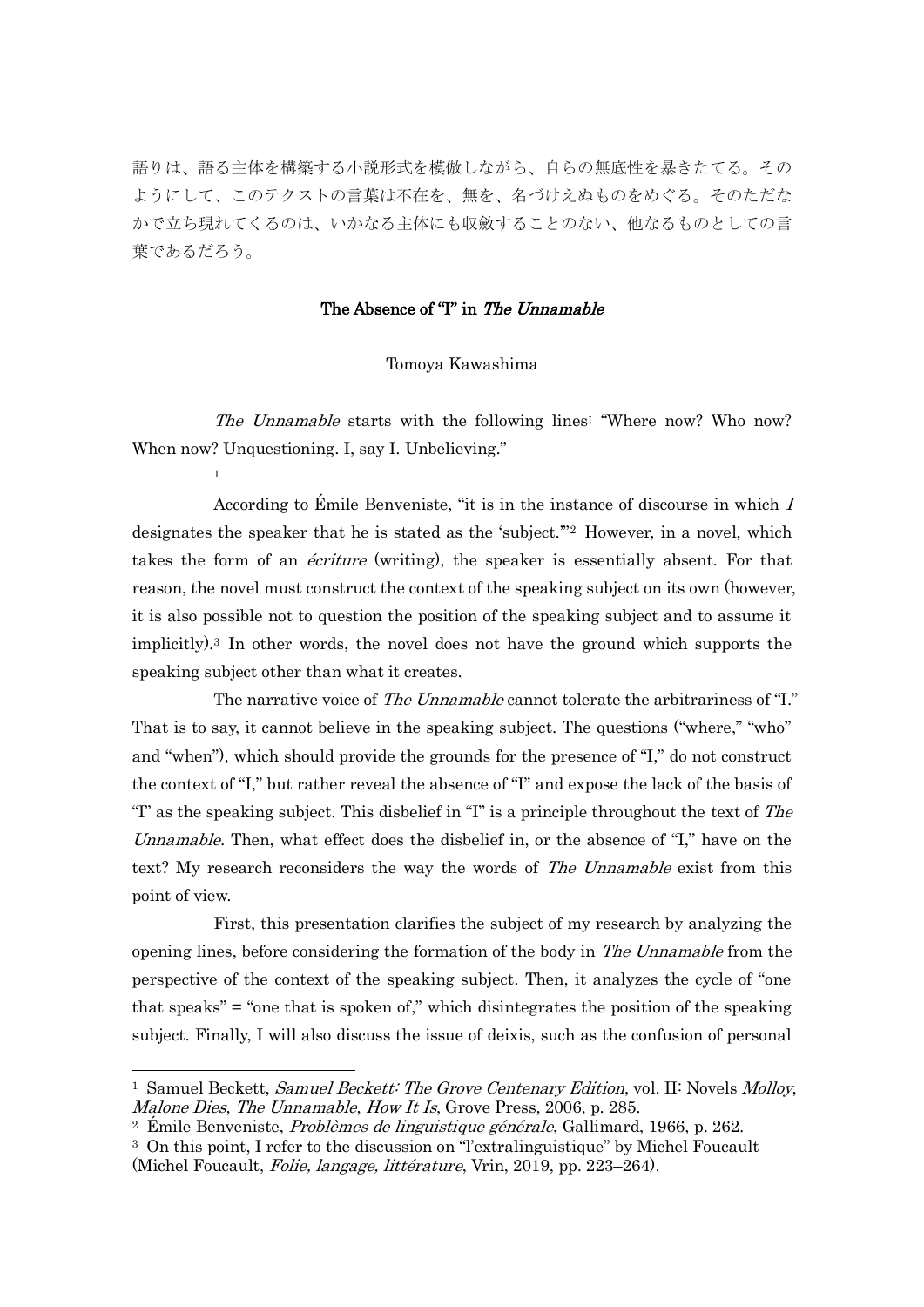語りは、語る主体を構築する小説形式を模倣しながら、自らの無底性を暴きたてる。その ようにして、このテクストの言葉は不在を、無を、名づけえぬものをめぐる。そのただな かで立ち現れてくるのは、いかなる主体にも収斂することのない、他なるものとしての言 葉であるだろう。

#### The Absence of "I" in The Unnamable

#### Tomoya Kawashima

The Unnamable starts with the following lines: "Where now? Who now? When now? Unquestioning. I, say I. Unbelieving."

1

According to Émile Benveniste, "it is in the instance of discourse in which  $I$ designates the speaker that he is stated as the 'subject.'"<sup>2</sup> However, in a novel, which takes the form of an *écriture* (writing), the speaker is essentially absent. For that reason, the novel must construct the context of the speaking subject on its own (however, it is also possible not to question the position of the speaking subject and to assume it implicitly).<sup>3</sup> In other words, the novel does not have the ground which supports the speaking subject other than what it creates.

The narrative voice of The Unnamable cannot tolerate the arbitrariness of "I." That is to say, it cannot believe in the speaking subject. The questions ("where," "who" and "when"), which should provide the grounds for the presence of "I," do not construct the context of "I," but rather reveal the absence of "I" and expose the lack of the basis of "I" as the speaking subject. This disbelief in "I" is a principle throughout the text of  $The$ Unnamable. Then, what effect does the disbelief in, or the absence of "I," have on the text? My research reconsiders the way the words of *The Unnamable* exist from this point of view.

First, this presentation clarifies the subject of my research by analyzing the opening lines, before considering the formation of the body in The Unnamable from the perspective of the context of the speaking subject. Then, it analyzes the cycle of "one that speaks" = "one that is spoken of," which disintegrates the position of the speaking subject. Finally, I will also discuss the issue of deixis, such as the confusion of personal

<sup>&</sup>lt;sup>1</sup> Samuel Beckett, *Samuel Beckett: The Grove Centenary Edition*, vol. II: Novels *Molloy*, Malone Dies, The Unnamable, How It Is, Grove Press, 2006, p. 285.

<sup>&</sup>lt;sup>2</sup> Émile Benveniste, *Problèmes de linguistique générale*, Gallimard, 1966, p. 262.

<sup>3</sup> On this point, I refer to the discussion on "l'extralinguistique" by Michel Foucault (Michel Foucault, Folie, langage, littérature, Vrin, 2019, pp. 223–264).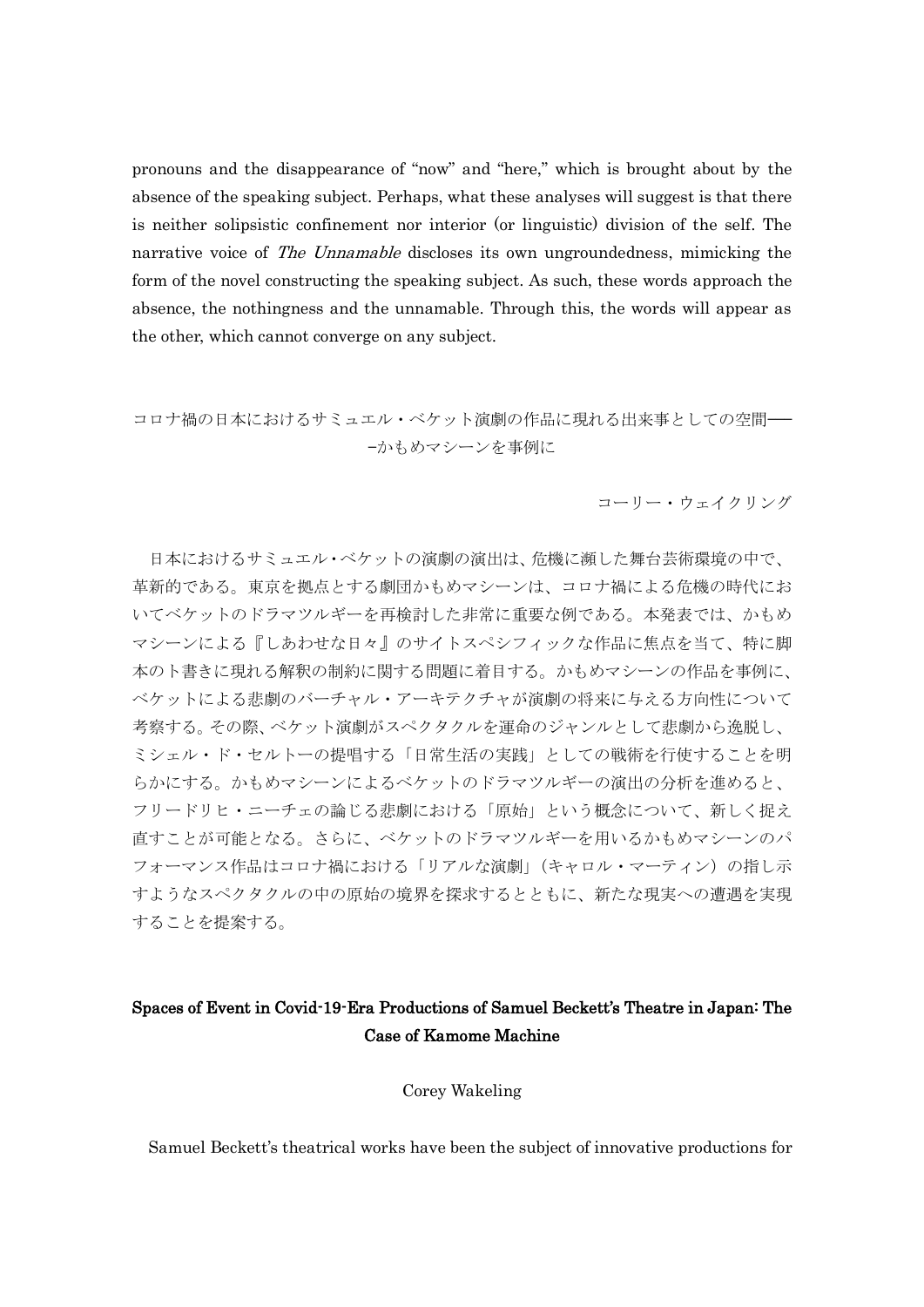pronouns and the disappearance of "now" and "here," which is brought about by the absence of the speaking subject. Perhaps, what these analyses will suggest is that there is neither solipsistic confinement nor interior (or linguistic) division of the self. The narrative voice of *The Unnamable* discloses its own ungroundedness, mimicking the form of the novel constructing the speaking subject. As such, these words approach the absence, the nothingness and the unnamable. Through this, the words will appear as the other, which cannot converge on any subject.

コロナ禍の日本におけるサミュエル・ベケット演劇の作品に現れる出来事としての空間–– —かもめマシーンを事例に

コーリー・ウェイクリング

日本におけるサミュエル・ベケットの演劇の演出は、危機に瀕した舞台芸術環境の中で、 革新的である。東京を拠点とする劇団かもめマシーンは、コロナ禍による危機の時代にお いてベケットのドラマツルギーを再検討した非常に重要な例である。本発表では、かもめ マシーンによる『しあわせな日々』のサイトスペシフィックな作品に焦点を当て、特に脚 本のト書きに現れる解釈の制約に関する問題に着目する。かもめマシーンの作品を事例に、 ベケットによる悲劇のバーチャル・アーキテクチャが演劇の将来に与える方向性について 考察する。その際、ベケット演劇がスペクタクルを運命のジャンルとして悲劇から逸脱し、 ミシェル・ド・セルトーの提唱する「日常生活の実践」としての戦術を行使することを明 らかにする。かもめマシーンによるベケットのドラマツルギーの演出の分析を進めると、 フリードリヒ・ニーチェの論じる悲劇における「原始」という概念について、新しく捉え 直すことが可能となる。さらに、ベケットのドラマツルギーを用いるかもめマシーンのパ フォーマンス作品はコロナ禍における「リアルな演劇」(キャロル・マーティン)の指し示 すようなスペクタクルの中の原始の境界を探求するとともに、新たな現実への遭遇を実現 することを提案する。

# Spaces of Event in Covid-19-Era Productions of Samuel Beckett's Theatre in Japan: The Case of Kamome Machine

Corey Wakeling

Samuel Beckett's theatrical works have been the subject of innovative productions for